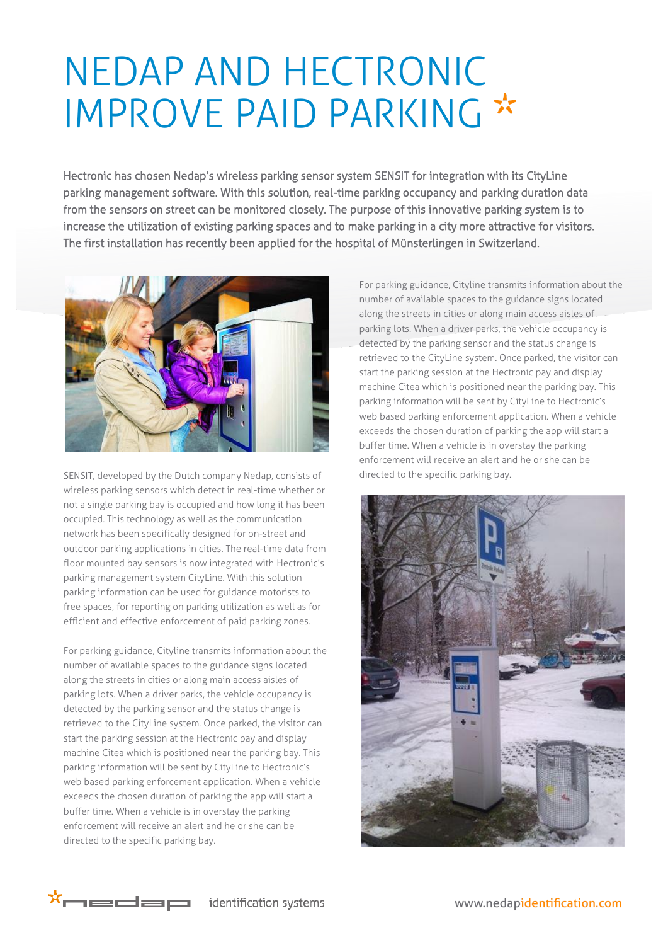## NEDAP AND HECTRONIC IMPROVE PAID PARKING \*

Hectronic has chosen Nedap's wireless parking sensor system SENSIT for integration with its CityLine parking management software. With this solution, real-time parking occupancy and parking duration data from the sensors on street can be monitored closely. The purpose of this innovative parking system is to increase the utilization of existing parking spaces and to make parking in a city more attractive for visitors. The first installation has recently been applied for the hospital of Münsterlingen in Switzerland.



SENSIT, developed by the Dutch company Nedap, consists of wireless parking sensors which detect in real-time whether or not a single parking bay is occupied and how long it has been occupied. This technology as well as the communication network has been specifically designed for on-street and outdoor parking applications in cities. The real-time data from floor mounted bay sensors is now integrated with Hectronic's parking management system CityLine. With this solution parking information can be used for guidance motorists to free spaces, for reporting on parking utilization as well as for efficient and effective enforcement of paid parking zones.

For parking guidance, Cityline transmits information about the number of available spaces to the guidance signs located along the streets in cities or along main access aisles of parking lots. When a driver parks, the vehicle occupancy is detected by the parking sensor and the status change is retrieved to the CityLine system. Once parked, the visitor can start the parking session at the Hectronic pay and display machine Citea which is positioned near the parking bay. This parking information will be sent by CityLine to Hectronic's web based parking enforcement application. When a vehicle exceeds the chosen duration of parking the app will start a buffer time. When a vehicle is in overstay the parking enforcement will receive an alert and he or she can be directed to the specific parking bay.

For parking guidance, Cityline transmits information about the number of available spaces to the guidance signs located along the streets in cities or along main access aisles of parking lots. When a driver parks, the vehicle occupancy is detected by the parking sensor and the status change is retrieved to the CityLine system. Once parked, the visitor can start the parking session at the Hectronic pay and display machine Citea which is positioned near the parking bay. This parking information will be sent by CityLine to Hectronic's web based parking enforcement application. When a vehicle exceeds the chosen duration of parking the app will start a buffer time. When a vehicle is in overstay the parking enforcement will receive an alert and he or she can be directed to the specific parking bay.